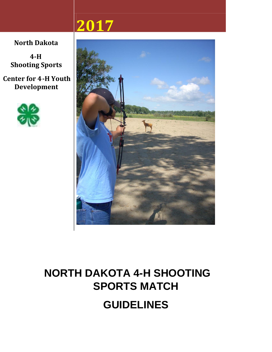# **2017**

**North Dakota**

**4-H Shooting Sports**

**Center for 4-H Youth Development**





# **NORTH DAKOTA 4-H SHOOTING SPORTS MATCH GUIDELINES**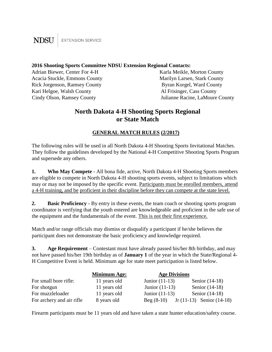#### **NDSU EXTENSION SERVICE**

#### **2016 Shooting Sports Committee NDSU Extension Regional Contacts:**

Adrian Biewer, Center For 4-H Karla Meikle, Morton County Acacia Stuckle, Emmons County Marilyn Larsen, Stark County Rick Jorgenson, Ramsey County **Byran Korgel, Ward County** Kari Helgoe, Walsh County **Al Frisinger**, Cass County

Cindy Olson, Ramsey County Julianne Racine, LaMoure County

## **North Dakota 4-H Shooting Sports Regional or State Match**

#### **GENERAL MATCH RULES (2/2017)**

The following rules will be used in all North Dakota 4-H Shooting Sports Invitational Matches. They follow the guidelines developed by the National 4-H Competitive Shooting Sports Program and supersede any others.

**1. Who May Compete** - All bona fide, active, North Dakota 4-H Shooting Sports members are eligible to compete in North Dakota 4-H shooting sports events, subject to limitations which may or may not be imposed by the specific event. Participants must be enrolled members, attend a 4-H training, and be proficient in their discipline before they can compete at the state level.

**2. Basic Proficiency** - By entry in these events, the team coach or shooting sports program coordinator is verifying that the youth entered are knowledgeable and proficient in the safe use of the equipment and the fundamentals of the event. This is not their first experience.

Match and/or range officials may dismiss or disqualify a participant if he/she believes the participant does not demonstrate the basic proficiency and knowledge required.

**3. Age Requirement** – Contestant must have already passed his/her 8th birthday, and may not have passed his/her 19th birthday as of **January 1** of the year in which the State/Regional 4- H Competitive Event is held. Minimum age for state meet participation is listed below.

|                           | <b>Minimum Age:</b> | <b>Age Divisions</b> |                               |
|---------------------------|---------------------|----------------------|-------------------------------|
| For small bore rifle:     | 11 years old        | Junior $(11-13)$     | Senior $(14-18)$              |
| For shotgun               | 11 years old        | Junior $(11-13)$     | Senior $(14-18)$              |
| For muzzleloader          | 11 years old        | Junior $(11-13)$     | Senior $(14-18)$              |
| For archery and air rifle | 8 years old         | $Beg(8-10)$          | Jr $(11-13)$ Senior $(14-18)$ |

Firearm participants must be 11 years old and have taken a state hunter education/safety course.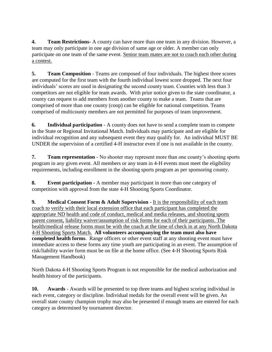**4. Team Restrictions-** A county can have more than one team in any division. However, a team may only participate in one age division of same age or older. A member can only participate on one team of the same event. Senior team mates are not to coach each other during a contest.

**5. Team Composition** - Teams are composed of four individuals. The highest three scores are computed for the first team with the fourth individual lowest score dropped. The next four individuals' scores are used in designating the second county team. Counties with less than 3 competitors are not eligible for team awards. With prior notice given to the state coordinator, a county can request to add members from another county to make a team. Teams that are comprised of more than one county (coop) can be eligible for national competition. Teams comprised of multicounty members are not permitted for purposes of team improvement.

**6. Individual participation** - A county does not have to send a complete team to compete in the State or Regional Invitational Match. Individuals may participate and are eligible for individual recognition and any subsequent event they may qualify for. An individual MUST BE UNDER the supervision of a certified 4-H instructor even if one is not available in the county.

**7. Team representation** - No shooter may represent more than one county's shooting sports program in any given event. All members or any team in 4-H events must meet the eligibility requirements, including enrollment in the shooting sports program as per sponsoring county.

**8. Event participation -** A member may participant in more than one category of competition with approval from the state 4-H Shooting Sports Coordinator.

**9. Medical Consent Form & Adult Supervision -** It is the responsibility of each team coach to verify with their local extension office that each participant has completed the appropriate ND health and code of conduct, medical and media releases, and shooting sports parent consent, liability waiver/assumption of risk forms for each of their participants. The health/medical release forms must be with the coach at the time of check in at any North Dakota 4-H Shooting Sports Match. **All volunteers accompanying the team must also have completed health forms**. Range officers or other event staff at any shooting event must have immediate access to these forms any time youth are participating in an event. The assumption of risk/liability wavier form must be on file at the home office. (See 4-H Shooting Sports Risk Management Handbook)

North Dakota 4-H Shooting Sports Program is not responsible for the medical authorization and health history of the participants.

**10. Awards** - Awards will be presented to top three teams and highest scoring individual in each event, category or discipline. Individual medals for the overall event will be given. An overall state county champion trophy may also be presented if enough teams are entered for each category as determined by tournament director.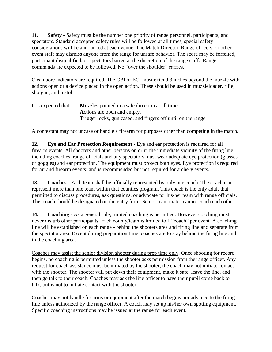**11. Safety** - Safety must be the number one priority of range personnel, participants, and spectators. Standard accepted safety rules will be followed at all times, special safety considerations will be announced at each venue. The Match Director, Range officers, or other event staff may dismiss anyone from the range for unsafe behavior. The score may be forfeited, participant disqualified, or spectators barred at the discretion of the range staff. Range commands are expected to be followed. No "over the shoulder" carries.

Clean bore indicators are required. The CBI or ECI must extend 3 inches beyond the muzzle with actions open or a device placed in the open action. These should be used in muzzleloader, rifle, shotgun, and pistol.

| It is expected that: | Muzzles pointed in a safe direction at all times.                   |
|----------------------|---------------------------------------------------------------------|
|                      | Actions are open and empty.                                         |
|                      | <b>Trigger locks, gun cased, and fingers off until on the range</b> |

A contestant may not uncase or handle a firearm for purposes other than competing in the match.

**12. Eye and Ear Protection Requirement** - Eye and ear protection is required for all firearm events. All shooters and other persons on or in the immediate vicinity of the firing line, including coaches, range officials and any spectators must wear adequate eye protection (glasses or goggles) and ear protection. The equipment must protect both eyes. Eye protection is required for air and firearm events; and is recommended but not required for archery events.

**13. Coaches** - Each team shall be officially represented by only one coach. The coach can represent more than one team within that counties program. This coach is the only adult that permitted to discuss procedures, ask questions, or advocate for his/her team with range officials. This coach should be designated on the entry form. Senior team mates cannot coach each other.

**14. Coaching** - As a general rule, limited coaching is permitted. However coaching must never disturb other participants. Each county/team is limited to 1 "coach" per event. A coaching line will be established on each range - behind the shooters area and firing line and separate from the spectator area. Except during preparation time, coaches are to stay behind the firing line and in the coaching area.

Coaches may assist the senior division shooter during prep time only. Once shooting for record begins, no coaching is permitted unless the shooter asks permission from the range officer. Any request for coach assistance must be initiated by the shooter; the coach may not initiate contact with the shooter. The shooter will put down their equipment, make it safe, leave the line, and then go talk to their coach. Coaches may ask the line officer to have their pupil come back to talk, but is not to initiate contact with the shooter.

Coaches may not handle firearms or equipment after the match begins nor advance to the firing line unless authorized by the range officer. A coach may set up his/her own spotting equipment. Specific coaching instructions may be issued at the range for each event.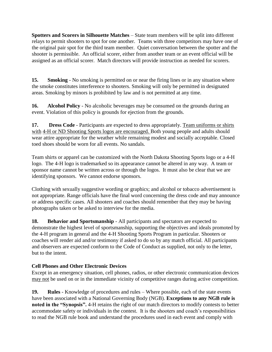**Spotters and Scorers in Silhouette Matches** – State team members will be split into different relays to permit shooters to spot for one another. Teams with three competitors may have one of the original pair spot for the third team member. Quiet conversation between the spotter and the shooter is permissible. An official scorer, either from another team or an event official will be assigned as an official scorer. Match directors will provide instruction as needed for scorers.

**15. Smoking** - No smoking is permitted on or near the firing lines or in any situation where the smoke constitutes interference to shooters. Smoking will only be permitted in designated areas. Smoking by minors is prohibited by law and is not permitted at any time.

**16. Alcohol Policy** - No alcoholic beverages may be consumed on the grounds during an event. Violation of this policy is grounds for ejection from the grounds.

**17. Dress Code** - Participants are expected to dress appropriately. Team uniforms or shirts with 4-H or ND Shooting Sports logos are encouraged. Both young people and adults should wear attire appropriate for the weather while remaining modest and socially acceptable. Closed toed shoes should be worn for all events. No sandals.

Team shirts or apparel can be customized with the North Dakota Shooting Sports logo or a 4-H logo. The 4-H logo is trademarked so its appearance cannot be altered in any way. A team or sponsor name cannot be written across or through the logos. It must also be clear that we are identifying sponsors. We cannot endorse sponsors.

Clothing with sexually suggestive wording or graphics; and alcohol or tobacco advertisement is not appropriate. Range officials have the final word concerning the dress code and may announce or address specific cases. All shooters and coaches should remember that they may be having photographs taken or be asked to interview for the media.

**18. Behavior and Sportsmanship** - All participants and spectators are expected to demonstrate the highest level of sportsmanship, supporting the objectives and ideals promoted by the 4-H program in general and the 4-H Shooting Sports Program in particular. Shooters or coaches will render aid and/or testimony if asked to do so by any match official. All participants and observers are expected conform to the Code of Conduct as supplied, not only to the letter, but to the intent.

### **Cell Phones and Other Electronic Devices**

Except in an emergency situation, cell phones, radios, or other electronic communication devices may not be used on or in the immediate vicinity of competitive ranges during active competition.

**19. Rules** - Knowledge of procedures and rules – Where possible, each of the state events have been associated with a National Governing Body (NGB). **Exceptions to any NGB rule is noted in the "Synopsis".** 4-H retains the right of our match directors to modify contests to better accommodate safety or individuals in the contest. It is the shooters and coach's responsibilities to read the NGB rule book and understand the procedures used in each event and comply with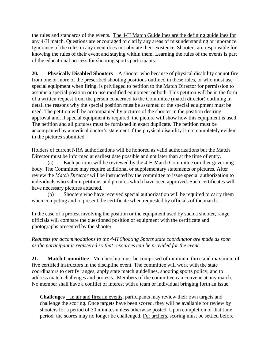the rules and standards of the events. The 4-H Match Guidelines are the defining guidelines for any 4-H match. Questions are encouraged to clarify any areas of misunderstanding or ignorance. Ignorance of the rules in any event does not obviate their existence. Shooters are responsible for knowing the rules of their event and staying within them. Learning the rules of the events is part of the educational process for shooting sports participants.

**20. Physically Disabled Shooters** – A shooter who because of physical disability cannot fire from one or more of the prescribed shooting positions outlined in these rules, or who must use special equipment when firing, is privileged to petition to the Match Director for permission to assume a special position or to use modified equipment or both. This petition will be in the form of a written request from the person concerned to the Committee (match director) outlining in detail the reasons why the special position must be assumed or the special equipment must be used. The petition will be accompanied by pictures of the shooter in the position desiring approval and, if special equipment is required, the picture will show how this equipment is used. The petition and all pictures must be furnished in exact duplicate. The petition must be accompanied by a medical doctor's statement if the physical disability is not completely evident in the pictures submitted.

Holders of current NRA authorizations will be honored as valid authorizations but the Match Director must be informed at earliest date possible and not later than at the time of entry.

(a) Each petition will be reviewed by the 4-H Match Committee or other governing body. The Committee may require additional or supplementary statements or pictures. After review the *Match Director* will be instructed by the committee to issue special authorization to individuals who submit petitions and pictures which have been approved. Such certificates will have necessary pictures attached.

(b) Shooters who have received special authorization will be required to carry them when competing and to present the certificate when requested by officials of the match.

In the case of a protest involving the position or the equipment used by such a shooter, range officials will compare the questioned position or equipment with the certificate and photographs presented by the shooter.

*Requests for accommodations to the 4-H Shooting Sports state coordinator are made as soon as the participant is registered so that resources can be provided for the event.*

**21. Match Committee -** Membership must be comprised of minimum three and maximum of five certified instructors in the discipline event. The committee will work with the state coordinators to certify ranges, apply state match guidelines, shooting sports policy, and to address match challenges and protests. Members of the committee can convene at any match. No member shall have a conflict of interest with a team or individual bringing forth an issue.

**Challenges** – In air and firearm events, participants may review their own targets and challenge the scoring. Once targets have been scored, they will be available for review by shooters for a period of 30 minutes unless otherwise posted. Upon completion of that time period, the scores may no longer be challenged. For archers, scoring must be settled before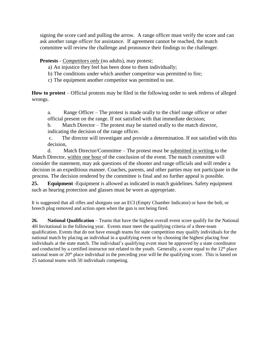signing the score card and pulling the arrow. A range officer must verify the score and can ask another range officer for assistance. If agreement cannot be reached, the match committee will review the challenge and pronounce their findings to the challenger.

**Protests** - *Competitors only* (no adults), may protest;

a) An injustice they feel has been done to them individually;

b) The conditions under which another competitor was permitted to fire;

c) The equipment another competitor was permitted to use.

**How to protest** – Official protests may be filed in the following order to seek redress of alleged wrongs.

a. Range Officer – The protest is made orally to the chief range officer or other official present on the range. If not satisfied with that immediate decision;

b. Match Director – The protest may be started orally to the match director, indicating the decision of the range officer.

c. The director will investigate and provide a determination. If not satisfied with this decision,

d. Match Director/Committee – The protest must be submitted in writing to the Match Director, within one hour of the conclusion of the event. The match committee will consider the statement, may ask questions of the shooter and range officials and will render a decision in an expeditious manner. Coaches, parents, and other parties may not participate in the process. The decision rendered by the committee is final and no further appeal is possible.

**25. Equipment -**Equipment is allowed as indicated in match guidelines. Safety equipment such as hearing protection and glasses must be worn as appropriate.

It is suggested that all rifles and shotguns use an ECI (Empty Chamber Indicator) or have the bolt, or breech plug removed and action open when the gun is not being fired.

**26.** National Qualification – Teams that have the highest overall event score qualify for the National 4H Invitational in the following year. Events must meet the qualifying criteria of a three-team qualification. Events that do not have enough teams for state competition may qualify individuals for the national match by placing an individual in a qualifying event or by choosing the highest placing four individuals at the state match. The individual's qualifying event must be approved by a state coordinator and conducted by a certified instructor not related to the youth. Generally, a score equal to the  $12<sup>th</sup>$  place national team or 20<sup>th</sup> place individual in the preceding year will be the qualifying score. This is based on 25 national teams with 50 individuals competing.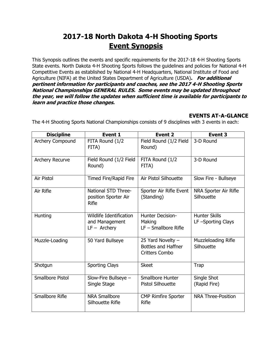# **2017-18 North Dakota 4-H Shooting Sports Event Synopsis**

This Synopsis outlines the events and specific requirements for the 2017-18 4-H Shooting Sports State events. North Dakota 4-H Shooting Sports follows the guidelines and policies for National 4-H Competitive Events as established by National 4-H Headquarters, National Institute of Food and Agriculture (NIFA) at the United States Department of Agriculture (USDA)**. For additional pertinent information for participants and coaches, see the 2017 4-H Shooting Sports National Championships GENERAL RULES. Some events may be updated throughout the year, we will follow the updates when sufficient time is available for participants to learn and practice those changes.**

## **EVENTS AT-A-GLANCE**

| <b>Discipline</b>       | <b>Event 1</b>                                              | Event <sub>2</sub>                                                       | <b>Event 3</b>                            |
|-------------------------|-------------------------------------------------------------|--------------------------------------------------------------------------|-------------------------------------------|
| Archery Compound        | FITA Round (1/2<br>FITA)                                    | Field Round (1/2 Field<br>Round)                                         | 3-D Round                                 |
| <b>Archery Recurve</b>  | Field Round (1/2 Field<br>Round)                            | FITA Round (1/2<br>FITA)                                                 | 3-D Round                                 |
| Air Pistol              | Timed Fire/Rapid Fire                                       | Air Pistol Silhouette                                                    | Slow Fire - Bullseye                      |
| Air Rifle               | National STD Three-<br>position Sporter Air<br>Rifle        | Sporter Air Rifle Event<br>(Standing)                                    | NRA Sporter Air Rifle<br>Silhouette       |
| Hunting                 | Wildlife Identification<br>and Management<br>$LF -$ Archery | <b>Hunter Decision-</b><br>Making<br>$LF - Smallbore$ Rifle              | <b>Hunter Skills</b><br>LF-Sporting Clays |
| Muzzle-Loading          | 50 Yard Bullseye                                            | 25 Yard Novelty -<br><b>Bottles and Haffner</b><br><b>Critters Combo</b> | Muzzleloading Rifle<br>Silhouette         |
| Shotgun                 | <b>Sporting Clays</b>                                       | <b>Skeet</b>                                                             | <b>Trap</b>                               |
| <b>Smallbore Pistol</b> | Slow-Fire Bullseye $-$<br>Single Stage                      | Smallbore Hunter<br><b>Pistol Silhouette</b>                             | Single Shot<br>(Rapid Fire)               |
| Smallbore Rifle         | <b>NRA Smallbore</b><br>Silhouette Rifle                    | <b>CMP Rimfire Sporter</b><br><b>Rifle</b>                               | <b>NRA Three-Position</b>                 |

The 4-H Shooting Sports National Championships consists of 9 disciplines with 3 events in each: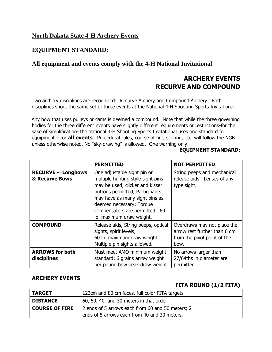### **North Dakota State 4-H Archery Events**

## **EQUIPMENT STANDARD:**

### **All equipment and events comply with the 4-H National Invitational**

## **ARCHERY EVENTS RECURVE AND COMPOUND**

Two archery disciplines are recognized: Recurve Archery and Compound Archery. Both disciplines shoot the same set of three events at the National 4-H Shooting Sports Invitational.

Any bow that uses pulleys or cams is deemed a compound. Note that while the three governing bodies for the three different events have slightly different requirements or restrictions-for the sake of simplification- the National 4-H Shooting Sports Invitational uses one standard for equipment – for **all events**. Procedural rules, course of fire, scoring, etc. will follow the NGB unless otherwise noted. No "sky-drawing" is allowed. One warning only.

#### **EQUIPMENT STANDARD:**

|                                           | <b>PERMITTED</b>                                                                                                                                                                                                                                                   | <b>NOT PERMITTED</b>                                                                               |
|-------------------------------------------|--------------------------------------------------------------------------------------------------------------------------------------------------------------------------------------------------------------------------------------------------------------------|----------------------------------------------------------------------------------------------------|
| RECURVE $\sim$ Longbows<br>& Recurve Bows | One adjustable sight pin or<br>multiple hunting style sight pins<br>may be used; clicker and kisser<br>buttons permitted; Participants<br>may have as many sight pins as<br>deemed necessary; Torque<br>compensators are permitted. 60<br>lb. maximum draw weight. | String peeps and mechanical<br>release aids. Lenses of any<br>type sight.                          |
| <b>COMPOUND</b>                           | Release aids, String peeps, optical<br>sights, spirit levels;<br>60 lb. maximum draw weight.<br>Multiple pin sights allowed.                                                                                                                                       | Overdraws may not place the<br>arrow rest further than 6 cm<br>from the pivot point of the<br>bow. |
| <b>ARROWS for both</b><br>disciplines     | Must meet AMO minimum weight<br>standard; 6 grains arrow weight<br>per pound bow peak draw weight.                                                                                                                                                                 | No arrows larger than<br>27/64ths in diameter are<br>permitted.                                    |

#### **ARCHERY EVENTS**

### **FITA ROUND (1/2 FITA)**

| <b>TARGET</b>         | 122cm and 80 cm faces, full color FITA targets                                                   |
|-----------------------|--------------------------------------------------------------------------------------------------|
| <b>DISTANCE</b>       | 60, 50, 40, and 30 meters in that order                                                          |
| <b>COURSE OF FIRE</b> | 2 ends of 5 arrows each from 60 and 50 meters; 2<br>ends of 5 arrows each from 40 and 30 meters. |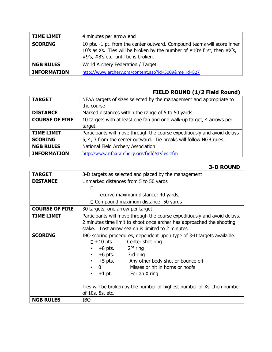| <b>TIME LIMIT</b>  | 4 minutes per arrow end                                                                                                                                                                           |
|--------------------|---------------------------------------------------------------------------------------------------------------------------------------------------------------------------------------------------|
| <b>SCORING</b>     | 10 pts. -1 pt. from the center outward. Compound teams will score inner<br>10's as Xs. Ties will be broken by the number of $#10$ 's first, then $#X$ 's,<br>#9's, #8's etc. until tie is broken. |
| <b>NGB RULES</b>   | World Archery Federation / Target                                                                                                                                                                 |
| <b>INFORMATION</b> | http://www.archery.org/content.asp?id=5009&me id=827                                                                                                                                              |

## **FIELD ROUND (1/2 Field Round)**

| <b>TARGET</b>         | NFAA targets of sizes selected by the management and appropriate to      |
|-----------------------|--------------------------------------------------------------------------|
|                       | the course                                                               |
| <b>DISTANCE</b>       | Marked distances within the range of 5 to 50 yards                       |
| <b>COURSE OF FIRE</b> | 10 targets with at least one fan and one walk-up target, 4 arrows per    |
|                       | target                                                                   |
| <b>TIME LIMIT</b>     | Participants will move through the course expeditiously and avoid delays |
| <b>SCORING</b>        | 5, 4, 3 from the center outward. Tie breaks will follow NGB rules.       |
| <b>NGB RULES</b>      | National Field Archery Association                                       |
| <b>INFORMATION</b>    | http://www.nfaa-archery.org/field/styles.cfm                             |

### **3-D ROUND**

| <b>TARGET</b>         | 3-D targets as selected and placed by the management                      |  |
|-----------------------|---------------------------------------------------------------------------|--|
| <b>DISTANCE</b>       | Unmarked distances from 5 to 50 yards                                     |  |
|                       | п                                                                         |  |
|                       | recurve maximum distance: 40 yards,                                       |  |
|                       | $\square$ Compound maximum distance: 50 yards                             |  |
| <b>COURSE OF FIRE</b> | 30 targets, one arrow per target                                          |  |
| <b>TIME LIMIT</b>     | Participants will move through the course expeditiously and avoid delays. |  |
|                       | 2 minutes time limit to shoot once archer has approached the shooting     |  |
|                       | stake. Lost arrow search is limited to 2 minutes                          |  |
| <b>SCORING</b>        | IBO scoring procedures, dependent upon type of 3-D targets available.     |  |
|                       | $\Box$ +10 pts.<br>Center shot ring                                       |  |
|                       | 2 <sup>nd</sup> ring<br>$+8$ pts.                                         |  |
|                       | $+6$ pts.<br>3rd ring<br>$\bullet$                                        |  |
|                       | +5 pts. Any other body shot or bounce off<br>$\bullet$                    |  |
|                       | Misses or hit in horns or hoofs<br>$\mathbf{0}$<br>$\bullet$              |  |
|                       | $+1$ pt.<br>For an X ring<br>$\bullet$                                    |  |
|                       |                                                                           |  |
|                       | Ties will be broken by the number of highest number of Xs, then number    |  |
|                       | of 10s, 8s, etc.                                                          |  |
| <b>NGB RULES</b>      | <b>IBO</b>                                                                |  |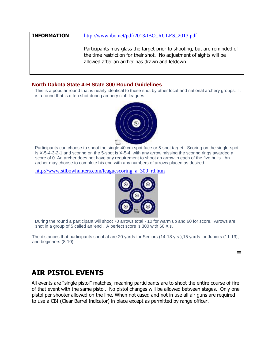| <b>INFORMATION</b> | http://www.ibo.net/pdf/2013/IBO_RULES_2013.pdf                                                                                                                                                     |
|--------------------|----------------------------------------------------------------------------------------------------------------------------------------------------------------------------------------------------|
|                    | Participants may glass the target prior to shooting, but are reminded of<br>the time restriction for their shot. No adjustment of sights will be<br>allowed after an archer has drawn and letdown. |

#### **North Dakota State 4-H State 300 Round Guidelines**

This is a popular round that is nearly identical to those shot by other local and national archery groups. It is a round that is often shot during archery club leagues.



Participants can choose to shoot the single 40 cm spot face or 5-spot target. Scoring on the single-spot is X-5-4-3-2-1 and scoring on the 5-spot is X-5-4, with any arrow missing the scoring rings awarded a score of 0. An archer does not have any requirement to shoot an arrow in each of the five bulls. An archer may choose to complete his end with any numbers of arrows placed as desired.

[http://www.stlbowhunters.com/leaguescoring\\_a\\_300\\_rd.htm](http://www.stlbowhunters.com/leaguescoring_a_300_rd.htm)



During the round a participant will shoot 70 arrows total - 10 for warm up and 60 for score. Arrows are shot in a group of 5 called an 'end'. A perfect score is 300 with 60 X's.

The distances that participants shoot at are 20 yards for Seniors (14-18 yrs.),15 yards for Juniors (11-13), and beginners (8-10).

**=**

## **AIR PISTOL EVENTS**

All events are "single pistol" matches, meaning participants are to shoot the entire course of fire of that event with the same pistol. No pistol changes will be allowed between stages. Only one pistol per shooter allowed on the line. When not cased and not in use all air guns are required to use a CBI (Clear Barrel Indicator) in place except as permitted by range officer.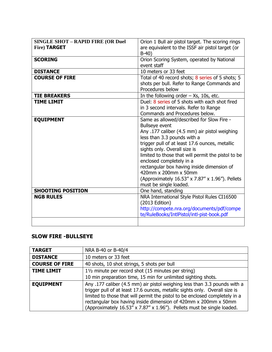| <b>SINGLE SHOT - RAPID FIRE (OR Duel</b><br><b>Fire) TARGET</b> | Orion 1 Bull air pistol target. The scoring rings<br>are equivalent to the ISSF air pistol target (or<br>$B-40$                                                                                                                                                                                                                                                                                                                                                           |
|-----------------------------------------------------------------|---------------------------------------------------------------------------------------------------------------------------------------------------------------------------------------------------------------------------------------------------------------------------------------------------------------------------------------------------------------------------------------------------------------------------------------------------------------------------|
| <b>SCORING</b>                                                  | Orion Scoring System, operated by National<br>event staff                                                                                                                                                                                                                                                                                                                                                                                                                 |
| <b>DISTANCE</b>                                                 | 10 meters or 33 feet                                                                                                                                                                                                                                                                                                                                                                                                                                                      |
| <b>COURSE OF FIRE</b>                                           | Total of 40 record shots; 8 series of 5 shots; 5<br>shots per bull. Refer to Range Commands and<br>Procedures below                                                                                                                                                                                                                                                                                                                                                       |
| <b>TIE BREAKERS</b>                                             | In the following order $-$ Xs, 10s, etc.                                                                                                                                                                                                                                                                                                                                                                                                                                  |
| <b>TIME LIMIT</b>                                               | Duel: 8 series of 5 shots with each shot fired<br>in 3 second intervals. Refer to Range<br>Commands and Procedures below.                                                                                                                                                                                                                                                                                                                                                 |
| <b>EQUIPMENT</b>                                                | Same as allowed/described for Slow Fire -<br><b>Bullseye event</b><br>Any .177 caliber (4.5 mm) air pistol weighing<br>less than 3.3 pounds with a<br>trigger pull of at least 17.6 ounces, metallic<br>sights only. Overall size is<br>limited to those that will permit the pistol to be<br>enclosed completely in a<br>rectangular box having inside dimension of<br>420mm x 200mm x 50mm<br>(Approximately 16.53" x 7.87" x 1.96"). Pellets<br>must be single loaded. |
| <b>SHOOTING POSITION</b>                                        | One hand, standing                                                                                                                                                                                                                                                                                                                                                                                                                                                        |
| <b>NGB RULES</b>                                                | NRA International Style Pistol Rules CI16500<br>(2013 Edition)<br>http://compete.nra.org/documents/pdf/compe<br>te/RuleBooks/IntlPistol/intl-pist-book.pdf                                                                                                                                                                                                                                                                                                                |

#### **SLOW FIRE -BULLSEYE**

| <b>TARGET</b>         | NRA B-40 or B-40/4                                                                                                                                                                                                                                                                                                                                                                   |
|-----------------------|--------------------------------------------------------------------------------------------------------------------------------------------------------------------------------------------------------------------------------------------------------------------------------------------------------------------------------------------------------------------------------------|
| <b>DISTANCE</b>       | 10 meters or 33 feet                                                                                                                                                                                                                                                                                                                                                                 |
| <b>COURSE OF FIRE</b> | 40 shots, 10 shot strings, 5 shots per bull                                                                                                                                                                                                                                                                                                                                          |
| <b>TIME LIMIT</b>     | 11/2 minute per record shot (15 minutes per string)                                                                                                                                                                                                                                                                                                                                  |
|                       | 10 min preparation time, 15 min for unlimited sighting shots.                                                                                                                                                                                                                                                                                                                        |
| <b>EQUIPMENT</b>      | Any .177 caliber (4.5 mm) air pistol weighing less than 3.3 pounds with a<br>trigger pull of at least 17.6 ounces, metallic sights only. Overall size is<br>limited to those that will permit the pistol to be enclosed completely in a<br>rectangular box having inside dimension of 420mm x 200mm x 50mm<br>(Approximately 16.53" x 7.87" x 1.96"). Pellets must be single loaded. |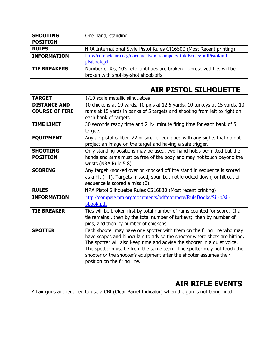| <b>SHOOTING</b>     | One hand, standing                                                       |
|---------------------|--------------------------------------------------------------------------|
| <b>POSITION</b>     |                                                                          |
| <b>RULES</b>        | NRA International Style Pistol Rules CI16500 (Most Recent printing)      |
| <b>INFORMATION</b>  | http://compete.nra.org/documents/pdf/compete/RuleBooks/IntlPistol/intl-  |
|                     | pistbook.pdf                                                             |
| <b>TIE BREAKERS</b> | Number of X's, 10's, etc. until ties are broken. Unresolved ties will be |
|                     | broken with shot-by-shot shoot-offs.                                     |

# **AIR PISTOL SILHOUETTE**

| <b>TARGET</b>                                | 1/10 scale metallic silhouettes                                                                                                                                                                                                                                                                                                                                                                                |
|----------------------------------------------|----------------------------------------------------------------------------------------------------------------------------------------------------------------------------------------------------------------------------------------------------------------------------------------------------------------------------------------------------------------------------------------------------------------|
| <b>DISTANCE AND</b><br><b>COURSE OF FIRE</b> | 10 chickens at 10 yards, 10 pigs at 12.5 yards, 10 turkeys at 15 yards, 10<br>rams at 18 yards in banks of 5 targets and shooting from left to right on<br>each bank of targets                                                                                                                                                                                                                                |
| <b>TIME LIMIT</b>                            | 30 seconds ready time and $2\frac{1}{2}$ minute firing time for each bank of 5<br>targets                                                                                                                                                                                                                                                                                                                      |
| <b>EQUIPMENT</b>                             | Any air pistol caliber .22 or smaller equipped with any sights that do not<br>project an image on the target and having a safe trigger.                                                                                                                                                                                                                                                                        |
| <b>SHOOTING</b><br><b>POSITION</b>           | Only standing positions may be used, two-hand holds permitted but the<br>hands and arms must be free of the body and may not touch beyond the<br>wrists (NRA Rule 5.8).                                                                                                                                                                                                                                        |
| <b>SCORING</b>                               | Any target knocked over or knocked off the stand in sequence is scored<br>as a hit $(+1)$ . Targets missed, spun but not knocked down, or hit out of<br>sequence is scored a miss (0).                                                                                                                                                                                                                         |
| <b>RULES</b>                                 | NRA Pistol Silhouette Rules CS16830 (Most recent printing)                                                                                                                                                                                                                                                                                                                                                     |
| <b>INFORMATION</b>                           | http://compete.nra.org/documents/pdf/compete/RuleBooks/Sil-p/sil-<br>pbook.pdf                                                                                                                                                                                                                                                                                                                                 |
| <b>TIE BREAKER</b>                           | Ties will be broken first by total number of rams counted for score. If a<br>tie remains, then by the total number of turkeys; then by number of<br>pigs, and then by number of chickens                                                                                                                                                                                                                       |
| <b>SPOTTER</b>                               | Each shooter may have one spotter with them on the firing line who may<br>have scopes and binoculars to advise the shooter where shots are hitting.<br>The spotter will also keep time and advise the shooter in a quiet voice.<br>The spotter must be from the same team. The spotter may not touch the<br>shooter or the shooter's equipment after the shooter assumes their<br>position on the firing line. |

# **AIR RIFLE EVENTS**

All air guns are required to use a CBI (Clear Barrel Indicator) when the gun is not being fired.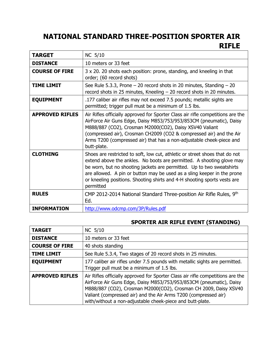# **NATIONAL STANDARD THREE-POSITION SPORTER AIR RIFLE**

| <b>TARGET</b>          | NC 5/10                                                                                                                                                                                                                                                                                                                                                                                           |
|------------------------|---------------------------------------------------------------------------------------------------------------------------------------------------------------------------------------------------------------------------------------------------------------------------------------------------------------------------------------------------------------------------------------------------|
| <b>DISTANCE</b>        | 10 meters or 33 feet                                                                                                                                                                                                                                                                                                                                                                              |
| <b>COURSE OF FIRE</b>  | 3 x 20. 20 shots each position: prone, standing, and kneeling in that<br>order; (60 record shots)                                                                                                                                                                                                                                                                                                 |
| <b>TIME LIMIT</b>      | See Rule 5.3.3, Prone $-$ 20 record shots in 20 minutes, Standing $-$ 20<br>record shots in 25 minutes, Kneeling $-$ 20 record shots in 20 minutes.                                                                                                                                                                                                                                               |
| <b>EQUIPMENT</b>       | .177 caliber air rifles may not exceed 7.5 pounds; metallic sights are<br>permitted; trigger pull must be a minimum of 1.5 lbs.                                                                                                                                                                                                                                                                   |
| <b>APPROVED RIFLES</b> | Air Rifles officially approved for Sporter Class air rifle competitions are the<br>AirForce Air Guns Edge, Daisy M853/753/953/853CM (pneumatic), Daisy<br>M888/887 (CO2), Crosman M2000(CO2), Daisy XSV40 Valiant<br>(compressed air), Crosman CH2009 (CO2 & compressed air) and the Air<br>Arms T200 (compressed air) that has a non-adjustable cheek-piece and<br>butt-plate.                   |
| <b>CLOTHING</b>        | Shoes are restricted to soft, low cut, athletic or street shoes that do not<br>extend above the ankles. No boots are permitted. A shooting glove may<br>be worn, but no shooting jackets are permitted. Up to two sweatshirts<br>are allowed. A pin or button may be used as a sling keeper in the prone<br>or kneeling positions. Shooting shirts and 4-H shooting sports vests are<br>permitted |
| <b>RULES</b>           | CMP 2012-2014 National Standard Three-position Air Rifle Rules, 9th<br>Ed.                                                                                                                                                                                                                                                                                                                        |
| <b>INFORMATION</b>     | http://www.odcmp.com/3P/Rules.pdf                                                                                                                                                                                                                                                                                                                                                                 |

## **SPORTER AIR RIFLE EVENT (STANDING)**

| <b>TARGET</b>          | NC 5/10                                                                                                                                                                                                                                                                                                                                                    |
|------------------------|------------------------------------------------------------------------------------------------------------------------------------------------------------------------------------------------------------------------------------------------------------------------------------------------------------------------------------------------------------|
| <b>DISTANCE</b>        | 10 meters or 33 feet                                                                                                                                                                                                                                                                                                                                       |
| <b>COURSE OF FIRE</b>  | 40 shots standing                                                                                                                                                                                                                                                                                                                                          |
| <b>TIME LIMIT</b>      | See Rule 5.3.4, Two stages of 20 record shots in 25 minutes.                                                                                                                                                                                                                                                                                               |
| <b>EQUIPMENT</b>       | 177 caliber air rifles under 7.5 pounds with metallic sights are permitted.<br>Trigger pull must be a minimum of 1.5 lbs.                                                                                                                                                                                                                                  |
| <b>APPROVED RIFLES</b> | Air Rifles officially approved for Sporter Class air rifle competitions are the<br>AirForce Air Guns Edge, Daisy M853/753/953/853CM (pneumatic), Daisy<br>M888/887 (CO2), Crosman M2000(CO2), Crosman CH 2009, Daisy XSV40<br>Valiant (compressed air) and the Air Arms T200 (compressed air)<br>with/without a non-adjustable cheek-piece and butt-plate. |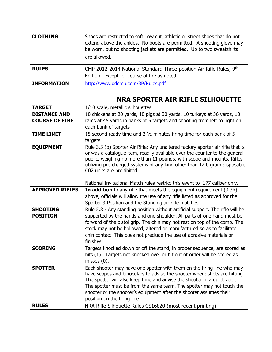| <b>CLOTHING</b>    | Shoes are restricted to soft, low cut, athletic or street shoes that do not<br>extend above the ankles. No boots are permitted. A shooting glove may<br>be worn, but no shooting jackets are permitted. Up to two sweatshirts |
|--------------------|-------------------------------------------------------------------------------------------------------------------------------------------------------------------------------------------------------------------------------|
|                    | are allowed.                                                                                                                                                                                                                  |
| <b>RULES</b>       | CMP 2012-2014 National Standard Three-position Air Rifle Rules, 9th<br>Edition -except for course of fire as noted.                                                                                                           |
| <b>INFORMATION</b> | http://www.odcmp.com/3P/Rules.pdf                                                                                                                                                                                             |

## **NRA SPORTER AIR RIFLE SILHOUETTE**

| <b>TARGET</b>          | 1/10 scale, metallic silhouettes                                                                                                                    |
|------------------------|-----------------------------------------------------------------------------------------------------------------------------------------------------|
| <b>DISTANCE AND</b>    | 10 chickens at 20 yards, 10 pigs at 30 yards, 10 turkeys at 36 yards, 10                                                                            |
| <b>COURSE OF FIRE</b>  | rams at 45 yards in banks of 5 targets and shooting from left to right on                                                                           |
|                        | each bank of targets                                                                                                                                |
| <b>TIME LIMIT</b>      | 15 second ready time and 2 1/2 minutes firing time for each bank of 5                                                                               |
|                        | targets                                                                                                                                             |
| <b>EQUIPMENT</b>       | Rule 3.3 (b) Sporter Air Rifle: Any unaltered factory sporter air rifle that is                                                                     |
|                        | or was a catalogue item, readily available over the counter to the general                                                                          |
|                        | public, weighing no more than 11 pounds, with scope and mounts. Rifles                                                                              |
|                        | utilizing pre-charged systems of any kind other than 12.0 gram disposable<br>C02 units are prohibited.                                              |
|                        |                                                                                                                                                     |
|                        | National Invitational Match rules restrict this event to .177 caliber only.                                                                         |
| <b>APPROVED RIFLES</b> | In addition to any rifle that meets the equipment requirement (3.3b)                                                                                |
|                        | above, officials will allow the use of any rifle listed as approved for the                                                                         |
|                        | Sporter 3-Position and the Standing air rifle matches.                                                                                              |
| <b>SHOOTING</b>        | Rule 5.8 - Any standing position without artificial support. The rifle will be                                                                      |
| <b>POSITION</b>        | supported by the hands and one shoulder. All parts of one hand must be                                                                              |
|                        | forward of the pistol grip. The chin may not rest on top of the comb. The                                                                           |
|                        | stock may not be hollowed, altered or manufactured so as to facilitate                                                                              |
|                        | chin contact. This does not preclude the use of abrasive materials or                                                                               |
|                        | finishes.                                                                                                                                           |
| <b>SCORING</b>         | Targets knocked down or off the stand, in proper sequence, are scored as                                                                            |
|                        | hits (1). Targets not knocked over or hit out of order will be scored as                                                                            |
| <b>SPOTTER</b>         | misses $(0)$ .                                                                                                                                      |
|                        | Each shooter may have one spotter with them on the firing line who may<br>have scopes and binoculars to advise the shooter where shots are hitting. |
|                        | The spotter will also keep time and advise the shooter in a quiet voice.                                                                            |
|                        | The spotter must be from the same team. The spotter may not touch the                                                                               |
|                        | shooter or the shooter's equipment after the shooter assumes their                                                                                  |
|                        | position on the firing line.                                                                                                                        |
| <b>RULES</b>           | NRA Rifle Silhouette Rules CS16820 (most recent printing)                                                                                           |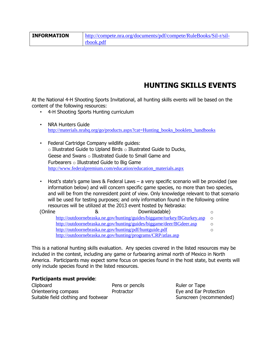| <b>INFORMATION</b> | http://compete.nra.org/documents/pdf/compete/RuleBooks/Sil-r/sil- |
|--------------------|-------------------------------------------------------------------|
|                    | rbook.pdf                                                         |

## **HUNTING SKILLS EVENTS**

At the National 4-H Shooting Sports Invitational, all hunting skills events will be based on the content of the following resources:

- 4-H Shooting Sports Hunting curriculum
- NRA Hunters Guide [http://materials.nrahq.org/go/products.aspx?cat=Hunting\\_books\\_booklets\\_handbooks](http://materials.nrahq.org/go/products.aspx?cat=Hunting_books_booklets_handbooks)
- Federal Cartridge Company wildlife guides:  $\circ$  Illustrated Guide to Upland Birds  $\circ$  Illustrated Guide to Ducks, Geese and Swans o Illustrated Guide to Small Game and Furbearers  $\circ$  Illustrated Guide to Big Game [http://www.federalpremium.com/education/education\\_materials.aspx](http://www.federalpremium.com/education/education_materials.aspx)
- Host's state's game laws & Federal Laws a very specific scenario will be provided (see information below) and will concern specific game species, no more than two species, and will be from the nonresident point of view. Only knowledge relevant to that scenario will be used for testing purposes; and only information found in the following online resources will be utilized at the 2013 event hosted by Nebraska:

| (Online | Downloadable)<br>୪                                                       |            |
|---------|--------------------------------------------------------------------------|------------|
|         | http://outdoornebraska.ne.gov/hunting/guides/biggame/turkey/BGturkey.asp | $\bigcirc$ |
|         | http://outdoornebraska.ne.gov/hunting/guides/biggame/deer/BGdeer.asp     |            |
|         | http://outdoornebraska.ne.gov/hunting/pdf/huntguide.pdf                  |            |
|         | http://outdoornebraska.ne.gov/hunting/programs/CRP/atlas.asp             |            |

This is a national hunting skills evaluation. Any species covered in the listed resources may be included in the contest, including any game or furbearing animal north of Mexico in North America. Participants may expect some focus on species found in the host state, but events will only include species found in the listed resources.

#### **Participants must provide**:

Clipboard **Pens or pencils** Ruler or Tape Orienteering compass **Protractor** Protractor **Eye and Ear Protection** Suitable field clothing and footwear Sunscreen (recommended)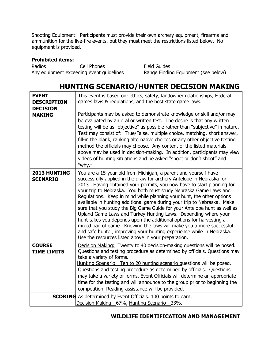Shooting Equipment: Participants must provide their own archery equipment, firearms and ammunition for the live-fire events, but they must meet the restrictions listed below. No equipment is provided.

#### **Prohibited items:**

Radios Cell Phones Field Guides Any equipment exceeding event guidelines Range Finding Equipment (see below)

## **HUNTING SCENARIO/HUNTER DECISION MAKING**

| <b>EVENT</b><br><b>DESCRIPTION</b><br><b>DECISION</b><br><b>MAKING</b> | This event is based on: ethics, safety, landowner relationships, Federal<br>games laws & regulations, and the host state game laws.<br>Participants may be asked to demonstrate knowledge or skill and/or may<br>be evaluated by an oral or written test. The desire is that any written<br>testing will be as "objective" as possible rather than "subjective" in nature.<br>Test may consist of: True/False, multiple choice, matching, short answer,<br>fill-in the blank, ranking alternative choices or any other objective testing<br>method the officials may choose. Any content of the listed materials<br>above may be used in decision-making. In addition, participants may view<br>videos of hunting situations and be asked "shoot or don't shoot" and<br>"why."                                                                                          |
|------------------------------------------------------------------------|-------------------------------------------------------------------------------------------------------------------------------------------------------------------------------------------------------------------------------------------------------------------------------------------------------------------------------------------------------------------------------------------------------------------------------------------------------------------------------------------------------------------------------------------------------------------------------------------------------------------------------------------------------------------------------------------------------------------------------------------------------------------------------------------------------------------------------------------------------------------------|
| 2013 HUNTING<br><b>SCENARIO</b>                                        | You are a 15-year-old from Michigan, a parent and yourself have<br>successfully applied in the draw for archery Antelope in Nebraska for<br>2013. Having obtained your permits, you now have to start planning for<br>your trip to Nebraska. You both must study Nebraska Game Laws and<br>Regulations. Keep in mind while planning your hunt, the other options<br>available in hunting additional game during your trip to Nebraska. Make<br>sure that you study the Big Game Guide for your Antelope hunt as well as<br>Upland Game Laws and Turkey Hunting Laws. Depending where your<br>hunt takes you depends upon the additional options for harvesting a<br>mixed bag of game. Knowing the laws will make you a more successful<br>and safe hunter, improving your hunting experience while in Nebraska.<br>Use the resources listed above in your preparation. |
| <b>COURSE</b><br><b>TIME LIMITS</b>                                    | Decision Making: Twenty to 40 decision-making questions will be posed.<br>Questions and testing procedure as determined by officials. Questions may<br>take a variety of forms.<br>Hunting Scenario: Ten to 20 hunting scenario questions will be posed.<br>Questions and testing procedure as determined by officials. Questions<br>may take a variety of forms. Event Officials will determine an appropriate<br>time for the testing and will announce to the group prior to beginning the<br>competition. Reading assistance will be provided.                                                                                                                                                                                                                                                                                                                      |
|                                                                        | <b>SCORING</b> As determined by Event Officials. 100 points to earn.<br>Decision Making - 67%, Hunting Scenario - 33%.                                                                                                                                                                                                                                                                                                                                                                                                                                                                                                                                                                                                                                                                                                                                                  |

#### **WILDLIFE IDENTIFICATION AND MANAGEMENT**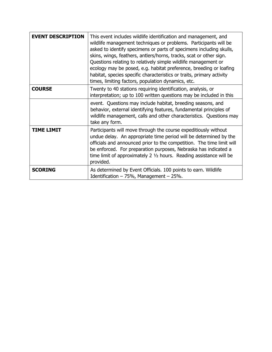| <b>EVENT DESCRIPTION</b> | This event includes wildlife identification and management, and<br>wildlife management techniques or problems. Participants will be<br>asked to identify specimens or parts of specimens including skulls,<br>skins, wings, feathers, antlers/horns, tracks, scat or other sign.<br>Questions relating to relatively simple wildlife management or<br>ecology may be posed, e.g. habitat preference, breeding or loafing<br>habitat, species specific characteristics or traits, primary activity<br>times, limiting factors, population dynamics, etc. |
|--------------------------|---------------------------------------------------------------------------------------------------------------------------------------------------------------------------------------------------------------------------------------------------------------------------------------------------------------------------------------------------------------------------------------------------------------------------------------------------------------------------------------------------------------------------------------------------------|
| <b>COURSE</b>            | Twenty to 40 stations requiring identification, analysis, or<br>interpretation; up to 100 written questions may be included in this                                                                                                                                                                                                                                                                                                                                                                                                                     |
|                          | event. Questions may include habitat, breeding seasons, and<br>behavior, external identifying features, fundamental principles of<br>wildlife management, calls and other characteristics. Questions may<br>take any form.                                                                                                                                                                                                                                                                                                                              |
| <b>TIME LIMIT</b>        | Participants will move through the course expeditiously without<br>undue delay. An appropriate time period will be determined by the<br>officials and announced prior to the competition. The time limit will<br>be enforced. For preparation purposes, Nebraska has indicated a<br>time limit of approximately 2 $1/2$ hours. Reading assistance will be<br>provided.                                                                                                                                                                                  |
| <b>SCORING</b>           | As determined by Event Officials. 100 points to earn. Wildlife<br>Identification $-75%$ , Management $-25%$ .                                                                                                                                                                                                                                                                                                                                                                                                                                           |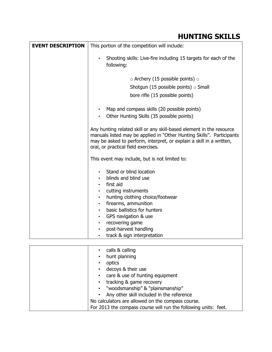# **HUNTING SKILLS**

| <b>EVENT DESCRIPTION</b> | This portion of the competition will include:                                                                                                                                                                                                                |
|--------------------------|--------------------------------------------------------------------------------------------------------------------------------------------------------------------------------------------------------------------------------------------------------------|
|                          | Shooting skills: Live-fire including 15 targets for each of the<br>$\bullet$<br>following:                                                                                                                                                                   |
|                          | $\circ$ Archery (15 possible points) $\circ$                                                                                                                                                                                                                 |
|                          | Shotgun (15 possible points) $\circ$ Small                                                                                                                                                                                                                   |
|                          | bore rifle (15 possible points)                                                                                                                                                                                                                              |
|                          | Map and compass skills (20 possible points)<br>٠                                                                                                                                                                                                             |
|                          | Other Hunting Skills (35 possible points)<br>٠                                                                                                                                                                                                               |
|                          | Any hunting related skill or any skill-based element in the resource<br>manuals listed may be applied in "Other Hunting Skills". Participants<br>may be asked to perform, interpret, or explain a skill in a written,<br>oral, or practical field exercises. |
|                          | This event may include, but is not limited to:                                                                                                                                                                                                               |
|                          | Stand or blind location<br>٠<br>blinds and blind use                                                                                                                                                                                                         |
|                          | first aid                                                                                                                                                                                                                                                    |
|                          | cutting instruments                                                                                                                                                                                                                                          |
|                          | hunting clothing choice/footwear<br>firearms, ammunition<br>$\bullet$                                                                                                                                                                                        |
|                          | basic ballistics for hunters                                                                                                                                                                                                                                 |
|                          | GPS navigation & use<br>$\bullet$                                                                                                                                                                                                                            |
|                          | recovering game<br>$\bullet$                                                                                                                                                                                                                                 |
|                          | post-harvest handling<br>$\bullet$                                                                                                                                                                                                                           |
|                          | track & sign interpretation<br>٠                                                                                                                                                                                                                             |
|                          |                                                                                                                                                                                                                                                              |
|                          | calls & calling<br>$\bullet$                                                                                                                                                                                                                                 |

| calls & calling                                                 |  |
|-----------------------------------------------------------------|--|
| hunt planning<br>$\bullet$                                      |  |
| optics<br>$\bullet$                                             |  |
| decoys & their use<br>$\bullet$                                 |  |
| care & use of hunting equipment<br>$\bullet$                    |  |
| tracking & game recovery<br>$\bullet$                           |  |
| "woodsmanship" & "plainsmanship"<br>$\bullet$                   |  |
| Any other skill included in the reference                       |  |
| No calculators are allowed on the compass course.               |  |
| For 2013 the compass course will run the following units: feet. |  |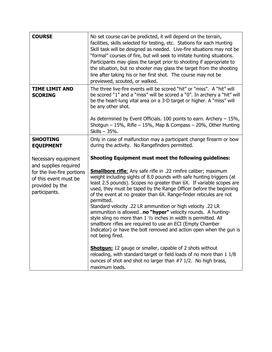| <b>COURSE</b>                                                                                                                           | No set course can be predicted, it will depend on the terrain,<br>facilities, skills selected for testing, etc. Stations for each Hunting<br>Skill task will be designed as needed. Live-fire situations may not be<br>"formal" courses of fire, but will seek to imitate hunting situations.<br>Participants may glass the target prior to shooting if appropriate to<br>the situation, but no shooter may glass the target from the shooting<br>line after taking his or her first shot. The course may not be<br>previewed, scouted, or walked.                                                                                                                                                                                                                                                                                                                                                                                                      |
|-----------------------------------------------------------------------------------------------------------------------------------------|---------------------------------------------------------------------------------------------------------------------------------------------------------------------------------------------------------------------------------------------------------------------------------------------------------------------------------------------------------------------------------------------------------------------------------------------------------------------------------------------------------------------------------------------------------------------------------------------------------------------------------------------------------------------------------------------------------------------------------------------------------------------------------------------------------------------------------------------------------------------------------------------------------------------------------------------------------|
| <b>TIME LIMIT AND</b><br><b>SCORING</b>                                                                                                 | The three live-fire events will be scored "hit" or "miss". A "hit" will<br>be scored "1" and a "miss" will be scored a "0". In archery a "hit" will<br>be the heart-lung vital area on a 3-D target or higher. A "miss" will<br>be any other shot.<br>As determined by Event Officials. 100 points to earn. Archery $-15\%$ ,<br>Shotgun $-15\%$ , Rifle $-15\%$ , Map & Compass $-20\%$ , Other Hunting<br>Skills - 35%.                                                                                                                                                                                                                                                                                                                                                                                                                                                                                                                               |
| <b>SHOOTING</b><br><b>EQUIPMENT</b>                                                                                                     | Only in case of malfunction may a participant change firearm or bow<br>during the activity. No Rangefinders permitted.                                                                                                                                                                                                                                                                                                                                                                                                                                                                                                                                                                                                                                                                                                                                                                                                                                  |
| Necessary equipment<br>and supplies required<br>for the live-fire portions<br>of this event must be<br>provided by the<br>participants. | <b>Shooting Equipment must meet the following guidelines:</b><br><b>Smallbore rifle:</b> Any safe rifle in .22 rimfire caliber; maximum<br>weight including sights of 8.0 pounds with safe hunting triggers (at<br>least 2.5 pounds). Scopes no greater than 6X. If variable scopes are<br>used, they must be taped by the Range Officer before the beginning<br>of the event at no greater than 6X. Range-finder reticules are not<br>permitted.<br>Standard velocity .22 LR ammunition or high velocity .22 LR<br>ammunition is allowedno "hyper" velocity rounds. A hunting-<br>style sling no more than 1 1/2 inches in width is permitted. All<br>smallbore rifles are required to use an ECI (Empty Chamber<br>Indicator) or have the bolt removed and action open when the gun is<br>not being fired.<br><b>Shotgun:</b> 12 gauge or smaller, capable of 2 shots without<br>reloading, with standard target or field loads of no more than 1 1/8 |
|                                                                                                                                         | ounces of shot and shot no larger than $#7$ 1/2. No high brass,<br>maximum loads.                                                                                                                                                                                                                                                                                                                                                                                                                                                                                                                                                                                                                                                                                                                                                                                                                                                                       |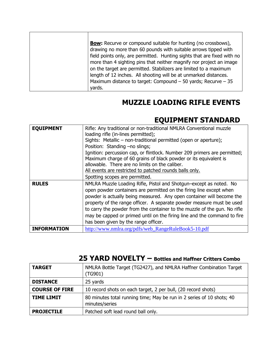| <b>Bow:</b> Recurve or compound suitable for hunting (no crossbows),<br>drawing no more than 60 pounds with suitable arrows tipped with<br>field points only, are permitted. Hunting sights that are fixed with no<br>more than 4 sighting pins that neither magnify nor project an image<br>on the target are permitted. Stabilizers are limited to a maximum<br>length of 12 inches. All shooting will be at unmarked distances.<br>Maximum distance to target: Compound $-50$ yards; Recurve $-35$<br>yards. |  |
|-----------------------------------------------------------------------------------------------------------------------------------------------------------------------------------------------------------------------------------------------------------------------------------------------------------------------------------------------------------------------------------------------------------------------------------------------------------------------------------------------------------------|--|
|-----------------------------------------------------------------------------------------------------------------------------------------------------------------------------------------------------------------------------------------------------------------------------------------------------------------------------------------------------------------------------------------------------------------------------------------------------------------------------------------------------------------|--|

## **MUZZLE LOADING RIFLE EVENTS**

# **EQUIPMENT STANDARD**

┑

| <b>EQUIPMENT</b>   | Rifle: Any traditional or non-traditional NMLRA Conventional muzzle<br>loading rifle (in-lines permitted);<br>Sights: Metallic – non-traditional permitted (open or aperture);<br>Position: Standing -no slings;<br>Ignition: percussion cap, or flintlock. Number 209 primers are permitted;<br>Maximum charge of 60 grains of black powder or its equivalent is<br>allowable. There are no limits on the caliber.<br>All events are restricted to patched rounds balls only.<br>Spotting scopes are permitted. |
|--------------------|------------------------------------------------------------------------------------------------------------------------------------------------------------------------------------------------------------------------------------------------------------------------------------------------------------------------------------------------------------------------------------------------------------------------------------------------------------------------------------------------------------------|
| <b>RULES</b>       | NMLRA Muzzle Loading Rifle, Pistol and Shotgun-except as noted. No<br>open powder containers are permitted on the firing line except when<br>powder is actually being measured. Any open container will become the<br>property of the range officer. A separate powder measure must be used<br>to carry the powder from the container to the muzzle of the gun. No rifle<br>may be capped or primed until on the firing line and the command to fire<br>has been given by the range officer.                     |
| <b>INFORMATION</b> | http://www.nmlra.org/pdfs/web_RangeRuleBook5-10.pdf                                                                                                                                                                                                                                                                                                                                                                                                                                                              |

## **25 YARD NOVELTY – Bottles and Haffner Critters Combo**

| <b>TARGET</b>         | NMLRA Bottle Target (TG2427), and NMLRA Haffner Combination Target<br>(TG901)           |
|-----------------------|-----------------------------------------------------------------------------------------|
| <b>DISTANCE</b>       | 25 yards                                                                                |
| <b>COURSE OF FIRE</b> | 10 record shots on each target, 2 per bull, (20 record shots)                           |
| <b>TIME LIMIT</b>     | 80 minutes total running time; May be run in 2 series of 10 shots; 40<br>minutes/series |
| <b>PROJECTILE</b>     | Patched soft lead round ball only.                                                      |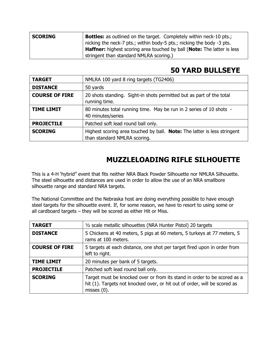| <b>SCORING</b> | <b>Bottles:</b> as outlined on the target. Completely within neck-10 pts.;             |
|----------------|----------------------------------------------------------------------------------------|
|                | nicking the neck-7 pts.; within body-5 pts.; nicking the body -3 pts.                  |
|                | <b>Haffner:</b> highest scoring area touched by ball ( <b>Note:</b> The latter is less |
|                | stringent than standard NMLRA scoring.)                                                |

## **50 YARD BULLSEYE**

| <b>TARGET</b>         | NMLRA 100 yard 8 ring targets (TG2406)                                                                          |
|-----------------------|-----------------------------------------------------------------------------------------------------------------|
| <b>DISTANCE</b>       | 50 yards                                                                                                        |
| <b>COURSE OF FIRE</b> | 20 shots standing. Sight-in shots permitted but as part of the total<br>running time.                           |
| <b>TIME LIMIT</b>     | 80 minutes total running time. May be run in 2 series of 10 shots -<br>40 minutes/series                        |
| <b>PROJECTILE</b>     | Patched soft lead round ball only.                                                                              |
| <b>SCORING</b>        | Highest scoring area touched by ball. <b>Note:</b> The latter is less stringent<br>than standard NMLRA scoring. |

# **MUZZLELOADING RIFLE SILHOUETTE**

This is a 4-H 'hybrid" event that fits neither NRA Black Powder Silhouette nor NMLRA Silhouette. The steel silhouette and distances are used in order to allow the use of an NRA smallbore silhouette range and standard NRA targets.

The National Committee and the Nebraska host are doing everything possible to have enough steel targets for the silhouette event. If, for some reason, we have to resort to using some or all cardboard targets – they will be scored as either Hit or Miss.

| <b>TARGET</b>         | 1/2 scale metallic silhouettes (NRA Hunter Pistol) 20 targets                                                                                                           |
|-----------------------|-------------------------------------------------------------------------------------------------------------------------------------------------------------------------|
| <b>DISTANCE</b>       | 5 Chickens at 40 meters, 5 pigs at 60 meters, 5 turkeys at 77 meters, 5<br>rams at 100 meters.                                                                          |
| <b>COURSE OF FIRE</b> | 5 targets at each distance, one shot per target fired upon in order from<br>left to right.                                                                              |
| <b>TIME LIMIT</b>     | 20 minutes per bank of 5 targets.                                                                                                                                       |
| <b>PROJECTILE</b>     | Patched soft lead round ball only.                                                                                                                                      |
| <b>SCORING</b>        | Target must be knocked over or from its stand in order to be scored as a<br>hit (1). Targets not knocked over, or hit out of order, will be scored as<br>misses $(0)$ . |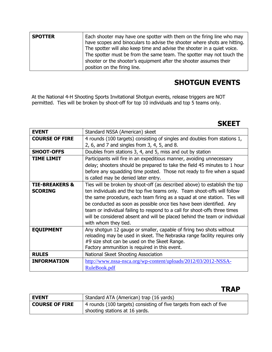| <b>SPOTTER</b> | Each shooter may have one spotter with them on the firing line who may<br>have scopes and binoculars to advise the shooter where shots are hitting.<br>The spotter will also keep time and advise the shooter in a quiet voice.<br>The spotter must be from the same team. The spotter may not touch the<br>shooter or the shooter's equipment after the shooter assumes their |
|----------------|--------------------------------------------------------------------------------------------------------------------------------------------------------------------------------------------------------------------------------------------------------------------------------------------------------------------------------------------------------------------------------|
|                | position on the firing line.                                                                                                                                                                                                                                                                                                                                                   |

# **SHOTGUN EVENTS**

At the National 4-H Shooting Sports Invitational Shotgun events, release triggers are NOT permitted. Ties will be broken by shoot-off for top 10 individuals and top 5 teams only.

## **SKEET**

| <b>EVENT</b>              | Standard NSSA (American) skeet                                             |
|---------------------------|----------------------------------------------------------------------------|
| <b>COURSE OF FIRE</b>     | 4 rounds (100 targets) consisting of singles and doubles from stations 1,  |
|                           | 2, 6, and 7 and singles from 3, 4, 5, and 8.                               |
| <b>SHOOT-OFFS</b>         | Doubles from stations 3, 4, and 5, miss and out by station                 |
| TIME LIMIT                | Participants will fire in an expeditious manner, avoiding unnecessary      |
|                           | delay; shooters should be prepared to take the field 45 minutes to 1 hour  |
|                           | before any squadding time posted. Those not ready to fire when a squad     |
|                           | is called may be denied later entry.                                       |
| <b>TIE-BREAKERS &amp;</b> | Ties will be broken by shoot-off (as described above) to establish the top |
| <b>SCORING</b>            | ten individuals and the top five teams only. Team shoot-offs will follow   |
|                           | the same procedure, each team firing as a squad at one station. Ties will  |
|                           | be conducted as soon as possible once ties have been identified. Any       |
|                           | team or individual failing to respond to a call for shoot-offs three times |
|                           | will be considered absent and will be placed behind the team or individual |
|                           | with whom they tied.                                                       |
| <b>EQUIPMENT</b>          | Any shotgun 12 gauge or smaller, capable of firing two shots without       |
|                           | reloading may be used in skeet. The Nebraska range facility requires only  |
|                           | #9 size shot can be used on the Skeet Range.                               |
|                           | Factory ammunition is required in this event.                              |
| <b>RULES</b>              | National Skeet Shooting Association                                        |
| <b>INFORMATION</b>        | http://www.nssa-nsca.org/wp-content/uploads/2012/03/2012-NSSA-             |
|                           | RuleBook.pdf                                                               |

## **TRAP**

| <b>EVENT</b>          | Standard ATA (American) trap (16 yards)                             |
|-----------------------|---------------------------------------------------------------------|
| <b>COURSE OF FIRE</b> | 4 rounds (100 targets) consisting of five targets from each of five |
|                       | shooting stations at 16 yards.                                      |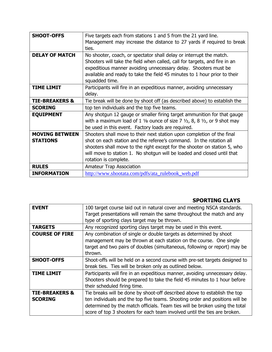| <b>SHOOT-OFFS</b>         | Five targets each from stations 1 and 5 from the 21 yard line.                                            |
|---------------------------|-----------------------------------------------------------------------------------------------------------|
|                           | Management may increase the distance to 27 yards if required to break                                     |
|                           | ties.                                                                                                     |
| <b>DELAY OF MATCH</b>     | No shooter, coach, or spectator shall delay or interrupt the match.                                       |
|                           | Shooters will take the field when called, call for targets, and fire in an                                |
|                           | expeditious manner avoiding unnecessary delay. Shooters must be                                           |
|                           | available and ready to take the field 45 minutes to 1 hour prior to their                                 |
|                           | squadded time.                                                                                            |
| <b>TIME LIMIT</b>         | Participants will fire in an expeditious manner, avoiding unnecessary                                     |
|                           | delay.                                                                                                    |
| <b>TIE-BREAKERS &amp;</b> | Tie break will be done by shoot off (as described above) to establish the                                 |
| <b>SCORING</b>            | top ten individuals and the top five teams.                                                               |
| <b>EQUIPMENT</b>          | Any shotgun 12 gauge or smaller firing target ammunition for that gauge                                   |
|                           | with a maximum load of 1 $\frac{1}{8}$ ounce of size 7 $\frac{1}{2}$ , 8, 8 $\frac{1}{2}$ , or 9 shot may |
|                           | be used in this event. Factory loads are required.                                                        |
| <b>MOVING BETWEEN</b>     | Shooters shall move to their next station upon completion of the final                                    |
| <b>STATIONS</b>           | shot on each station and the referee's command. In the rotation all                                       |
|                           | shooters shall move to the right except for the shooter on station 5, who                                 |
|                           | will move to station 1. No shotgun will be loaded and closed until that                                   |
|                           | rotation is complete.                                                                                     |
| <b>RULES</b>              | Amateur Trap Association                                                                                  |
| <b>INFORMATION</b>        | http://www.shootata.com/pdfs/ata_rulebook_web.pdf                                                         |

## **SPORTING CLAYS**

| <b>EVENT</b>                                | 100 target course laid out in natural cover and meeting NSCA standards.<br>Target presentations will remain the same throughout the match and any<br>type of sporting clays target may be thrown.                                                                                                                     |
|---------------------------------------------|-----------------------------------------------------------------------------------------------------------------------------------------------------------------------------------------------------------------------------------------------------------------------------------------------------------------------|
| <b>TARGETS</b>                              | Any recognized sporting clays target may be used in this event.                                                                                                                                                                                                                                                       |
| <b>COURSE OF FIRE</b>                       | Any combination of single or double targets as determined by shoot<br>management may be thrown at each station on the course. One single<br>target and two pairs of doubles (simultaneous, following or report) may be<br>thrown.                                                                                     |
| <b>SHOOT-OFFS</b>                           | Shoot-offs will be held on a second course with pre-set targets designed to<br>break ties. Ties will be broken only as outlined below.                                                                                                                                                                                |
| <b>TIME LIMIT</b>                           | Participants will fire in an expeditious manner, avoiding unnecessary delay.<br>Shooters should be prepared to take the field 45 minutes to 1 hour before<br>their scheduled firing time.                                                                                                                             |
| <b>TIE-BREAKERS &amp;</b><br><b>SCORING</b> | Tie breaks will be done by shoot-off described above to establish the top<br>ten individuals and the top five teams. Shooting order and positions will be<br>determined by the match officials. Team ties will be broken using the total<br>score of top 3 shooters for each team involved until the ties are broken. |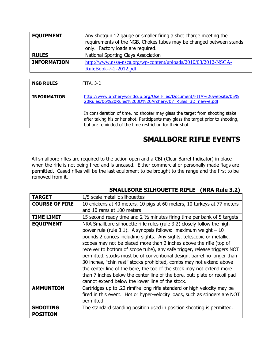| <b>EQUIPMENT</b>   | Any shotgun 12 gauge or smaller firing a shot charge meeting the<br>requirements of the NGB. Chokes tubes may be changed between stands<br>only. Factory loads are required. |
|--------------------|------------------------------------------------------------------------------------------------------------------------------------------------------------------------------|
| <b>RULES</b>       | National Sporting Clays Association                                                                                                                                          |
| <b>INFORMATION</b> | http://www.nssa-nsca.org/wp-content/uploads/2010/03/2012-NSCA-<br>RuleBook-7-2-2012.pdf                                                                                      |

| <b>NGB RULES</b>   | FITA, 3-D                                                                                                                                                                                                                       |
|--------------------|---------------------------------------------------------------------------------------------------------------------------------------------------------------------------------------------------------------------------------|
| <b>INFORMATION</b> | http://www.archeryworldcup.org/UserFiles/Document/FITA%20website/05%<br>20Rules/06%20Rules%203D%20Archery/07 Rules 3D new-e.pdf                                                                                                 |
|                    | In consideration of time, no shooter may glass the target from shooting stake<br>after taking his or her shot. Participants may glass the target prior to shooting,<br>but are reminded of the time restriction for their shot. |

## **SMALLBORE RIFLE EVENTS**

All smallbore rifles are required to the action open and a CBI (Clear Barrel Indicator) in place when the rifle is not being fired and is uncased. Either commercial or personally made flags are permitted. Cased rifles will be the last equipment to be brought to the range and the first to be removed from it.

#### **SMALLBORE SILHOUETTE RIFLE (NRA Rule 3.2)**

| <b>TARGET</b>                      | 1/5 scale metallic silhouettes                                                                                                                                                                                                                                                                                                                                                                                                                                                                                                                                                                                                                                                                                                       |
|------------------------------------|--------------------------------------------------------------------------------------------------------------------------------------------------------------------------------------------------------------------------------------------------------------------------------------------------------------------------------------------------------------------------------------------------------------------------------------------------------------------------------------------------------------------------------------------------------------------------------------------------------------------------------------------------------------------------------------------------------------------------------------|
| <b>COURSE OF FIRE</b>              | 10 chickens at 40 meters, 10 pigs at 60 meters, 10 turkeys at 77 meters                                                                                                                                                                                                                                                                                                                                                                                                                                                                                                                                                                                                                                                              |
|                                    | and 10 rams at 100 meters                                                                                                                                                                                                                                                                                                                                                                                                                                                                                                                                                                                                                                                                                                            |
| <b>TIME LIMIT</b>                  | 15 second ready time and 2 $\frac{1}{2}$ minutes firing time per bank of 5 targets                                                                                                                                                                                                                                                                                                                                                                                                                                                                                                                                                                                                                                                   |
| <b>EQUIPMENT</b>                   | NRA Smallbore silhouette rifle rules (rule 3.2) closely follow the high<br>power rule (rule 3.1). A synopsis follows: maximum weight $-10$<br>pounds 2 ounces including sights. Any sights, telescopic or metallic,<br>scopes may not be placed more than 2 inches above the rifle (top of<br>receiver to bottom of scope tube), any safe trigger, release triggers NOT<br>permitted, stocks must be of conventional design, barrel no longer than<br>30 inches, "chin rest" stocks prohibited, combs may not extend above<br>the center line of the bore, the toe of the stock may not extend more<br>than 7 inches below the center line of the bore, butt plate or recoil pad<br>cannot extend below the lower line of the stock. |
| <b>AMMUNTION</b>                   | Cartridges up to .22 rimfire long rifle standard or high velocity may be<br>fired in this event. Hot or hyper-velocity loads, such as stingers are NOT<br>permitted.                                                                                                                                                                                                                                                                                                                                                                                                                                                                                                                                                                 |
| <b>SHOOTING</b><br><b>POSITION</b> | The standard standing position used in position shooting is permitted.                                                                                                                                                                                                                                                                                                                                                                                                                                                                                                                                                                                                                                                               |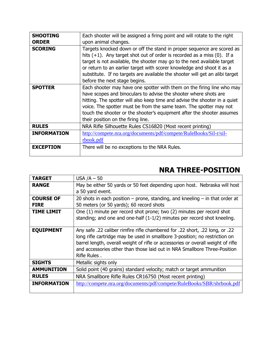| <b>SHOOTING</b>    | Each shooter will be assigned a firing point and will rotate to the right     |
|--------------------|-------------------------------------------------------------------------------|
| <b>ORDER</b>       | upon animal changes.                                                          |
| <b>SCORING</b>     | Targets knocked down or off the stand in proper sequence are scored as        |
|                    | hits $(+1)$ . Any target shot out of order is recorded as a miss $(0)$ . If a |
|                    | target is not available, the shooter may go to the next available target      |
|                    | or return to an earlier target with scorer knowledge and shoot it as a        |
|                    | substitute. If no targets are available the shooter will get an alibi target  |
|                    | before the next stage begins.                                                 |
| <b>SPOTTER</b>     | Each shooter may have one spotter with them on the firing line who may        |
|                    | have scopes and binoculars to advise the shooter where shots are              |
|                    | hitting. The spotter will also keep time and advise the shooter in a quiet    |
|                    | voice. The spotter must be from the same team. The spotter may not            |
|                    | touch the shooter or the shooter's equipment after the shooter assumes        |
|                    | their position on the firing line.                                            |
| <b>RULES</b>       | NRA Rifle Silhouette Rules CS16820 (Most recent printing)                     |
| <b>INFORMATION</b> | http://compete.nra.org/documents/pdf/compete/RuleBooks/Sil-r/sil-             |
|                    | rbook.pdf                                                                     |
| <b>EXCEPTION</b>   | There will be no exceptions to the NRA Rules.                                 |
|                    |                                                                               |

# **NRA THREE-POSITION**

| <b>TARGET</b>                   | USA $/A - 50$                                                                                                                                                                                                                                                                                                                                |
|---------------------------------|----------------------------------------------------------------------------------------------------------------------------------------------------------------------------------------------------------------------------------------------------------------------------------------------------------------------------------------------|
| <b>RANGE</b>                    | May be either 50 yards or 50 feet depending upon host. Nebraska will host<br>a 50 yard event.                                                                                                                                                                                                                                                |
| <b>COURSE OF</b><br><b>FIRE</b> | 20 shots in each position $-$ prone, standing, and kneeling $-$ in that order at<br>50 meters (or 50 yards); 60 record shots                                                                                                                                                                                                                 |
| TIME LIMIT                      | One (1) minute per record shot prone; two (2) minutes per record shot<br>standing; and one and one-half (1-1/2) minutes per record shot kneeling.                                                                                                                                                                                            |
| <b>EQUIPMENT</b>                | Any safe .22 caliber rimfire rifle chambered for .22 short, .22 long, or .22<br>long rifle cartridge may be used in smallbore 3-position; no restriction on<br>barrel length, overall weight of rifle or accessories or overall weight of rifle<br>and accessories other than those laid out in NRA Smallbore Three-Position<br>Rifle Rules. |
| <b>SIGHTS</b>                   | Metallic sights only                                                                                                                                                                                                                                                                                                                         |
| <b>AMMUNITION</b>               | Solid point (40 grains) standard velocity; match or target ammunition                                                                                                                                                                                                                                                                        |
| <b>RULES</b>                    | NRA Smallbore Rifle Rules CR16750 (Most recent printing)                                                                                                                                                                                                                                                                                     |
| <b>INFORMATION</b>              | http://compete.nra.org/documents/pdf/compete/RuleBooks/SBR/sbrbook.pdf                                                                                                                                                                                                                                                                       |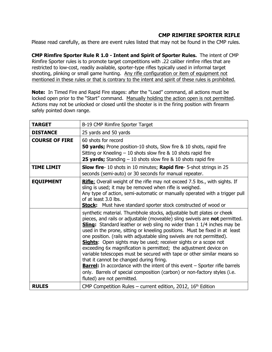#### **CMP RIMFIRE SPORTER RIFLE**

Please read carefully, as there are event rules listed that may not be found in the CMP rules.

**CMP Rimfire Sporter Rule R 1.0 - Intent and Spirit of Sporter Rules.** The intent of CMP Rimfire Sporter rules is to promote target competitions with .22 caliber rimfire rifles that are restricted to low-cost, readily available, sporter-type rifles typically used in informal target shooting, plinking or small game hunting. Any rifle configuration or item of equipment not mentioned in these rules or that is contrary to the intent and spirit of these rules is prohibited.

**Note:** In Timed Fire and Rapid Fire stages: after the "Load" command, all actions must be locked open prior to the "Start" command. Manually holding the action open is not permitted. Actions may not be unlocked or closed until the shooter is in the firing position with firearm safely pointed down range.

| <b>TARGET</b>         | B-19 CMP Rimfire Sporter Target                                                                                                                                                                                                                                                                                                                                                                                                                                                                                                                                                                                                                                                                                                                                                                                                                                       |
|-----------------------|-----------------------------------------------------------------------------------------------------------------------------------------------------------------------------------------------------------------------------------------------------------------------------------------------------------------------------------------------------------------------------------------------------------------------------------------------------------------------------------------------------------------------------------------------------------------------------------------------------------------------------------------------------------------------------------------------------------------------------------------------------------------------------------------------------------------------------------------------------------------------|
| <b>DISTANCE</b>       | 25 yards and 50 yards                                                                                                                                                                                                                                                                                                                                                                                                                                                                                                                                                                                                                                                                                                                                                                                                                                                 |
| <b>COURSE OF FIRE</b> | 60 shots for record<br><b>50 yards;</b> Prone position-10 shots, Slow fire & 10 shots, rapid fire<br>Sitting or Kneeling $-10$ shots slow fire & 10 shots rapid fire<br><b>25 yards;</b> Standing $-10$ shots slow fire & 10 shots rapid fire                                                                                                                                                                                                                                                                                                                                                                                                                                                                                                                                                                                                                         |
| <b>TIME LIMIT</b>     | <b>Slow fire-</b> 10 shots in 10 minutes; <b>Rapid fire-</b> 5-shot strings in 25<br>seconds (semi-auto) or 30 seconds for manual repeater.                                                                                                                                                                                                                                                                                                                                                                                                                                                                                                                                                                                                                                                                                                                           |
| <b>EQUIPMENT</b>      | Rifle: Overall weight of the rifle may not exceed 7.5 lbs., with sights. If<br>sling is used; it may be removed when rifle is weighed.<br>Any type of action, semi-automatic or manually operated with a trigger pull<br>of at least 3.0 lbs.<br>Stock: Must have standard sporter stock constructed of wood or                                                                                                                                                                                                                                                                                                                                                                                                                                                                                                                                                       |
|                       | synthetic material. Thumbhole stocks, adjustable butt plates or cheek<br>pieces, and rails or adjustable (moveable) sling swivels are not permitted.<br><b>Sling:</b> Standard leather or web sling no wider than 1 1/4 inches may be<br>used in the prone, sitting or kneeling positions. Must be fixed in at least<br>one position. (rails with adjustable sling swivels are not permitted).<br><b>Sights:</b> Open sights may be used; receiver sights or a scope not<br>exceeding 6x magnification is permitted; the adjustment device on<br>variable telescopes must be secured with tape or other similar means so<br>that it cannot be changed during firing.<br><b>Barrel:</b> In accordance with the intent of this event - Sporter rifle barrels<br>only. Barrels of special composition (carbon) or non-factory styles (i.e.<br>fluted) are not permitted. |
| <b>RULES</b>          | CMP Competition Rules – current edition, 2012, $16th$ Edition                                                                                                                                                                                                                                                                                                                                                                                                                                                                                                                                                                                                                                                                                                                                                                                                         |